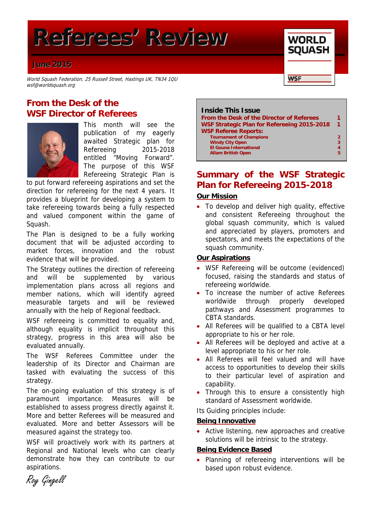# **Referees' Review**

# **June 2015**

World Squash Federation, 25 Russell Street, Hastings UK, TN34 1QU wsf@worldsquash.org

# **From the Desk of the WSF Director of Referees**



This month will see the publication of my eagerly awaited Strategic plan for Refereeing 2015-2018 entitled "Moving Forward". The purpose of this WSF Refereeing Strategic Plan is

to put forward refereeing aspirations and set the direction for refereeing for the next 4 years. It provides a blueprint for developing a system to take refereeing towards being a fully respected and valued component within the game of Squash.

The Plan is designed to be a fully working document that will be adjusted according to market forces, innovation and the robust evidence that will be provided.

The Strategy outlines the direction of refereeing and will be supplemented by various implementation plans across all regions and member nations, which will identify agreed measurable targets and will be reviewed annually with the help of Regional feedback.

WSF refereeing is committed to equality and, although equality is implicit throughout this strategy, progress in this area will also be evaluated annually.

The WSF Referees Committee under the leadership of its Director and Chairman are tasked with evaluating the success of this strategy.

The on-going evaluation of this strategy is of paramount importance. Measures will be established to assess progress directly against it. More and better Referees will be measured and evaluated. More and better Assessors will be measured against the strategy too.

WSF will proactively work with its partners at Regional and National levels who can clearly demonstrate how they can contribute to our aspirations.



**WORLD SQUASH** 

**WSF** 

# **Summary of the WSF Strategic Plan for Refereeing 2015-2018**

# **Our Mission**

• To develop and deliver high quality, effective and consistent Refereeing throughout the global squash community, which is valued and appreciated by players, promoters and spectators, and meets the expectations of the squash community.

### **Our Aspirations**

- WSF Refereeing will be outcome (evidenced) focused, raising the standards and status of refereeing worldwide.
- To increase the number of active Referees worldwide through properly developed pathways and Assessment programmes to CBTA standards.
- All Referees will be qualified to a CBTA level appropriate to his or her role.
- All Referees will be deployed and active at a level appropriate to his or her role.
- All Referees will feel valued and will have access to opportunities to develop their skills to their particular level of aspiration and capability.
- Through this to ensure a consistently high standard of Assessment worldwide.

Its Guiding principles include:

#### **Being Innovative**

• Active listening, new approaches and creative solutions will be intrinsic to the strategy.

#### **Being Evidence Based**

 Planning of refereeing interventions will be based upon robust evidence.

Roy Gingell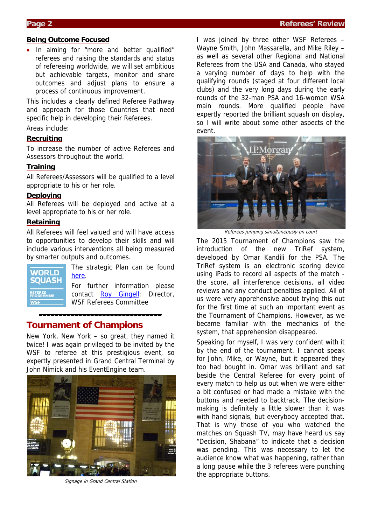### **Page 2 Referees' Review Additional Page 2 Referees' Review Referees' Review**

#### **Being Outcome Focused**

• In aiming for "more and better qualified" referees and raising the standards and status of refereeing worldwide, we will set ambitious but achievable targets, monitor and share outcomes and adjust plans to ensure a process of continuous improvement.

This includes a clearly defined Referee Pathway and approach for those Countries that need specific help in developing their Referees.

Areas include:

### **Recruiting**

To increase the number of active Referees and Assessors throughout the world.

#### **Training**

All Referees/Assessors will be qualified to a level appropriate to his or her role.

#### **Deploying**

All Referees will be deployed and active at a level appropriate to his or her role.

### **Retaining**

All Referees will feel valued and will have access to opportunities to develop their skills and will include various interventions all being measured by smarter outputs and outcomes.



The strategic Plan can be found here.

For further information please contact Roy Gingell; Director, WSF Referees Committee

# **Tournament of Champions**

New York, New York – so great, they named it twice! I was again privileged to be invited by the WSF to referee at this prestigious event, so expertly presented in Grand Central Terminal by John Nimick and his EventEngine team.

**\_\_\_\_\_\_\_\_\_\_\_\_\_\_\_\_\_\_\_\_\_\_\_\_\_\_\_\_\_\_\_**



Signage in Grand Central Station

I was joined by three other WSF Referees – Wayne Smith, John Massarella, and Mike Riley – as well as several other Regional and National Referees from the USA and Canada, who stayed a varying number of days to help with the qualifying rounds (staged at four different local clubs) and the very long days during the early rounds of the 32-man PSA and 16-woman WSA main rounds. More qualified people have expertly reported the brilliant squash on display, so I will write about some other aspects of the event.



Referees jumping simultaneously on court

The 2015 Tournament of Champions saw the introduction of the new TriRef system, developed by Omar Kandili for the PSA. The TriRef system is an electronic scoring device using iPads to record all aspects of the match the score, all interference decisions, all video reviews and any conduct penalties applied. All of us were very apprehensive about trying this out for the first time at such an important event as the Tournament of Champions. However, as we became familiar with the mechanics of the system, that apprehension disappeared.

Speaking for myself, I was very confident with it by the end of the tournament. I cannot speak for John, Mike, or Wayne, but it appeared they too had bought in. Omar was brilliant and sat beside the Central Referee for every point of every match to help us out when we were either a bit confused or had made a mistake with the buttons and needed to backtrack. The decisionmaking is definitely a little slower than it was with hand signals, but everybody accepted that. That is why those of you who watched the matches on Squash TV, may have heard us say "Decision, Shabana" to indicate that a decision was pending. This was necessary to let the audience know what was happening, rather than a long pause while the 3 referees were punching the appropriate buttons.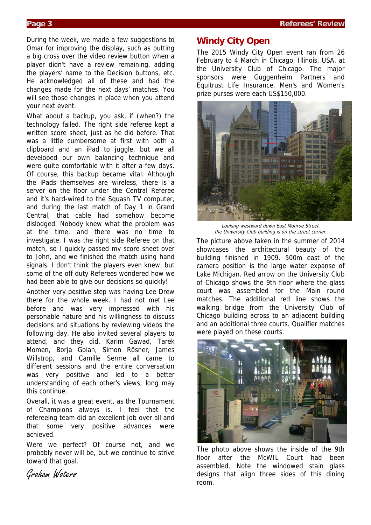During the week, we made a few suggestions to Omar for improving the display, such as putting a big cross over the video review button when a player didn't have a review remaining, adding the players' name to the Decision buttons, etc. He acknowledged all of these and had the changes made for the next days' matches. You will see those changes in place when you attend your next event.

What about a backup, you ask, if (when?) the technology failed. The right side referee kept a written score sheet, just as he did before. That was a little cumbersome at first with both a clipboard and an iPad to juggle, but we all developed our own balancing technique and were quite comfortable with it after a few days. Of course, this backup became vital. Although the iPads themselves are wireless, there is a server on the floor under the Central Referee and it's hard-wired to the Squash TV computer, and during the last match of Day 1 in Grand Central, that cable had somehow become dislodged. Nobody knew what the problem was at the time, and there was no time to investigate. I was the right side Referee on that match, so I quickly passed my score sheet over to John, and we finished the match using hand signals. I don't think the players even knew, but some of the off duty Referees wondered how we had been able to give our decisions so quickly!

Another very positive step was having Lee Drew there for the whole week. I had not met Lee before and was very impressed with his personable nature and his willingness to discuss decisions and situations by reviewing videos the following day. He also invited several players to attend, and they did. Karim Gawad, Tarek Momen, Borja Golan, Simon Rösner, James Willstrop, and Camille Serme all came to different sessions and the entire conversation was very positive and led to a better understanding of each other's views; long may this continue.

Overall, it was a great event, as the Tournament of Champions always is. I feel that the refereeing team did an excellent job over all and that some very positive advances were achieved.

Were we perfect? Of course not, and we probably never will be, but we continue to strive toward that goal.

Graham Waters

# **Windy City Open**

The 2015 Windy City Open event ran from 26 February to 4 March in Chicago, Illinois, USA, at the University Club of Chicago. The major sponsors were Guggenheim Partners and Equitrust Life Insurance. Men's and Women's prize purses were each US\$150,000.



Looking westward down East Monroe Street, the University Club building is on the street corner.

The picture above taken in the summer of 2014 showcases the architectural beauty of the building finished in 1909. 500m east of the camera position is the large water expanse of Lake Michigan. Red arrow on the University Club of Chicago shows the 9th floor where the glass court was assembled for the Main round matches. The additional red line shows the walking bridge from the University Club of Chicago building across to an adjacent building and an additional three courts. Qualifier matches were played on these courts.



The photo above shows the inside of the 9th floor after the McWIL Court had been assembled. Note the windowed stain glass designs that align three sides of this dining room.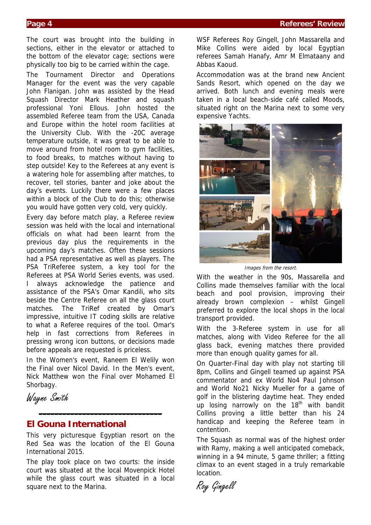The court was brought into the building in sections, either in the elevator or attached to the bottom of the elevator cage; sections were physically too big to be carried within the cage.

The Tournament Director and Operations Manager for the event was the very capable John Flanigan. John was assisted by the Head Squash Director Mark Heather and squash professional Yoni Ellous. John hosted the assembled Referee team from the USA, Canada and Europe within the hotel room facilities at the University Club. With the -20C average temperature outside, it was great to be able to move around from hotel room to gym facilities, to food breaks, to matches without having to step outside! Key to the Referees at any event is a watering hole for assembling after matches, to recover, tell stories, banter and joke about the day's events. Luckily there were a few places within a block of the Club to do this; otherwise you would have gotten very cold, very quickly.

Every day before match play, a Referee review session was held with the local and international officials on what had been learnt from the previous day plus the requirements in the upcoming day's matches. Often these sessions had a PSA representative as well as players. The PSA TriReferee system, a key tool for the Referees at PSA World Series events, was used. I always acknowledge the patience and assistance of the PSA's Omar Kandili, who sits beside the Centre Referee on all the glass court matches. The TriRef created by Omar's impressive, intuitive IT coding skills are relative to what a Referee requires of the tool. Omar's help in fast corrections from Referees in pressing wrong icon buttons, or decisions made before appeals are requested is priceless.

In the Women's event, Raneem El Welily won the Final over Nicol David. In the Men's event, Nick Matthew won the Final over Mohamed El Shorbagy.

Wayne Smith

# **El Gouna International**

This very picturesque Egyptian resort on the Red Sea was the location of the El Gouna International 2015.

**\_\_\_\_\_\_\_\_\_\_\_\_\_\_\_\_\_\_\_\_\_\_\_\_\_\_\_\_\_\_\_**

The play took place on two courts: the inside court was situated at the local Movenpick Hotel while the glass court was situated in a local square next to the Marina.

WSF Referees Roy Gingell, John Massarella and Mike Collins were aided by local Egyptian referees Samah Hanafy, Amr M Elmataany and Abbas Kaoud.

Accommodation was at the brand new Ancient Sands Resort, which opened on the day we arrived. Both lunch and evening meals were taken in a local beach-side café called Moods, situated right on the Marina next to some very expensive Yachts.



Images from the resort.

With the weather in the 90s, Massarella and Collins made themselves familiar with the local beach and pool provision, improving their already brown complexion – whilst Gingell preferred to explore the local shops in the local transport provided.

With the 3-Referee system in use for all matches, along with Video Referee for the all glass back, evening matches there provided more than enough quality games for all.

On Quarter-Final day with play not starting till 8pm, Collins and Gingell teamed up against PSA commentator and ex World No4 Paul Johnson and World No21 Nicky Mueller for a game of golf in the blistering daytime heat. They ended up losing narrowly on the  $18<sup>th</sup>$  with bandit Collins proving a little better than his 24 handicap and keeping the Referee team in contention.

The Squash as normal was of the highest order with Ramy, making a well anticipated comeback, winning in a 94 minute, 5 game thriller; a fitting climax to an event staged in a truly remarkable location.

Roy Gingell